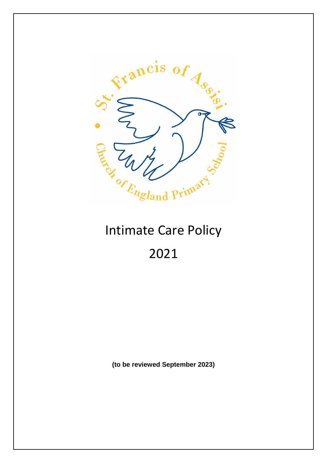

# 2021

**(to be reviewed September 2023)**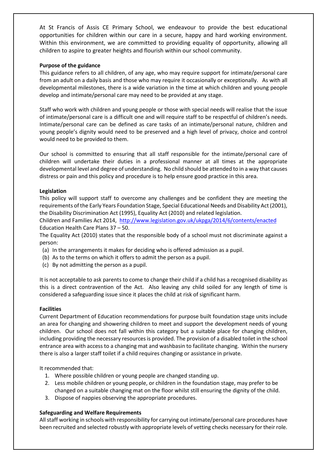At St Francis of Assis CE Primary School, we endeavour to provide the best educational opportunities for children within our care in a secure, happy and hard working environment. Within this environment, we are committed to providing equality of opportunity, allowing all children to aspire to greater heights and flourish within our school community.

#### **Purpose of the guidance**

This guidance refers to all children, of any age, who may require support for intimate/personal care from an adult on a daily basis and those who may require it occasionally or exceptionally. As with all developmental milestones, there is a wide variation in the time at which children and young people develop and intimate/personal care may need to be provided at any stage.

Staff who work with children and young people or those with special needs will realise that the issue of intimate/personal care is a difficult one and will require staff to be respectful of children's needs. Intimate/personal care can be defined as care tasks of an intimate/personal nature, children and young people's dignity would need to be preserved and a high level of privacy, choice and control would need to be provided to them.

Our school is committed to ensuring that all staff responsible for the intimate/personal care of children will undertake their duties in a professional manner at all times at the appropriate developmental level and degree of understanding. No child should be attended to in a way that causes distress or pain and this policy and procedure is to help ensure good practice in this area.

#### **Legislation**

This policy will support staff to overcome any challenges and be confident they are meeting the requirements of the Early Years Foundation Stage, Special Educational Needs and Disability Act (2001), the Disability Discrimination Act (1995), Equality Act (2010) and related legislation.

Children and Families Act 2014,<http://www.legislation.gov.uk/ukpga/2014/6/contents/enacted> Education Health Care Plans 37 – 50.

The Equality Act (2010) states that the responsible body of a school must not discriminate against a person:

- (a) In the arrangements it makes for deciding who is offered admission as a pupil.
- (b) As to the terms on which it offers to admit the person as a pupil.
- (c) By not admitting the person as a pupil.

It is not acceptable to ask parents to come to change their child if a child has a recognised disability as this is a direct contravention of the Act. Also leaving any child soiled for any length of time is considered a safeguarding issue since it places the child at risk of significant harm.

#### **Facilities**

Current Department of Education recommendations for purpose built foundation stage units include an area for changing and showering children to meet and support the development needs of young children. Our school does not fall within this category but a suitable place for changing children, including providing the necessary resources is provided. The provision of a disabled toilet in the school entrance area with access to a changing mat and washbasin to facilitate changing. Within the nursery there is also a larger staff toilet if a child requires changing or assistance in private.

It recommended that:

- 1. Where possible children or young people are changed standing up.
- 2. Less mobile children or young people, or children in the foundation stage, may prefer to be changed on a suitable changing mat on the floor whilst still ensuring the dignity of the child.
- 3. Dispose of nappies observing the appropriate procedures.

#### **Safeguarding and Welfare Requirements**

All staff working in schools with responsibility for carrying out intimate/personal care procedures have been recruited and selected robustly with appropriate levels of vetting checks necessary for their role.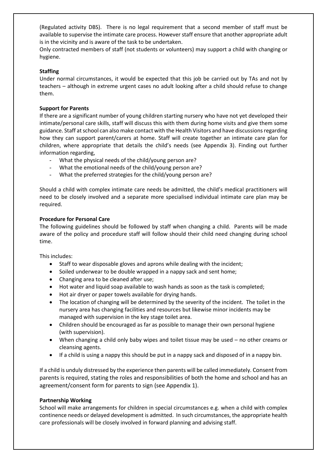(Regulated activity DBS). There is no legal requirement that a second member of staff must be available to supervise the intimate care process. However staff ensure that another appropriate adult is in the vicinity and is aware of the task to be undertaken.

Only contracted members of staff (not students or volunteers) may support a child with changing or hygiene.

#### **Staffing**

Under normal circumstances, it would be expected that this job be carried out by TAs and not by teachers – although in extreme urgent cases no adult looking after a child should refuse to change them.

#### **Support for Parents**

If there are a significant number of young children starting nursery who have not yet developed their intimate/personal care skills, staff will discuss this with them during home visits and give them some guidance. Staff at school can also make contact with the Health Visitors and have discussionsregarding how they can support parent/carers at home. Staff will create together an intimate care plan for children, where appropriate that details the child's needs (see Appendix 3). Finding out further information regarding,

- What the physical needs of the child/young person are?
- What the emotional needs of the child/young person are?
- What the preferred strategies for the child/young person are?

Should a child with complex intimate care needs be admitted, the child's medical practitioners will need to be closely involved and a separate more specialised individual intimate care plan may be required.

#### **Procedure for Personal Care**

The following guidelines should be followed by staff when changing a child. Parents will be made aware of the policy and procedure staff will follow should their child need changing during school time.

This includes:

- Staff to wear disposable gloves and aprons while dealing with the incident;
- Soiled underwear to be double wrapped in a nappy sack and sent home;
- Changing area to be cleaned after use;
- Hot water and liquid soap available to wash hands as soon as the task is completed;
- Hot air dryer or paper towels available for drying hands.
- The location of changing will be determined by the severity of the incident. The toilet in the nursery area has changing facilities and resources but likewise minor incidents may be managed with supervision in the key stage toilet area.
- Children should be encouraged as far as possible to manage their own personal hygiene (with supervision).
- When changing a child only baby wipes and toilet tissue may be used no other creams or cleansing agents.
- If a child is using a nappy this should be put in a nappy sack and disposed of in a nappy bin.

If a child is unduly distressed by the experience then parents will be called immediately. Consent from parents is required, stating the roles and responsibilities of both the home and school and has an agreement/consent form for parents to sign (see Appendix 1).

#### **Partnership Working**

School will make arrangements for children in special circumstances e.g. when a child with complex continence needs or delayed development is admitted. In such circumstances, the appropriate health care professionals will be closely involved in forward planning and advising staff.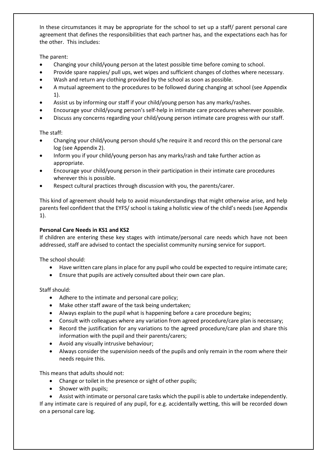In these circumstances it may be appropriate for the school to set up a staff/ parent personal care agreement that defines the responsibilities that each partner has, and the expectations each has for the other. This includes:

The parent:

- Changing your child/young person at the latest possible time before coming to school.
- Provide spare nappies/ pull ups, wet wipes and sufficient changes of clothes where necessary.
- Wash and return any clothing provided by the school as soon as possible.
- A mutual agreement to the procedures to be followed during changing at school (see Appendix 1).
- Assist us by informing our staff if your child/young person has any marks/rashes.
- Encourage your child/young person's self-help in intimate care procedures wherever possible.
- Discuss any concerns regarding your child/young person intimate care progress with our staff.

The staff:

- Changing your child/young person should s/he require it and record this on the personal care log (see Appendix 2).
- Inform you if your child/young person has any marks/rash and take further action as appropriate.
- Encourage your child/young person in their participation in their intimate care procedures wherever this is possible.
- Respect cultural practices through discussion with you, the parents/carer.

This kind of agreement should help to avoid misunderstandings that might otherwise arise, and help parents feel confident that the EYFS/ school is taking a holistic view of the child's needs (see Appendix 1).

#### **Personal Care Needs in KS1 and KS2**

If children are entering these key stages with intimate/personal care needs which have not been addressed, staff are advised to contact the specialist community nursing service for support.

The school should:

- Have written care plans in place for any pupil who could be expected to require intimate care;
- Ensure that pupils are actively consulted about their own care plan.

Staff should:

- Adhere to the intimate and personal care policy;
- Make other staff aware of the task being undertaken;
- Always explain to the pupil what is happening before a care procedure begins;
- Consult with colleagues where any variation from agreed procedure/care plan is necessary;
- Record the justification for any variations to the agreed procedure/care plan and share this information with the pupil and their parents/carers;
- Avoid any visually intrusive behaviour;
- Always consider the supervision needs of the pupils and only remain in the room where their needs require this.

This means that adults should not:

- Change or toilet in the presence or sight of other pupils;
- Shower with pupils;

• Assist with intimate or personal care tasks which the pupil is able to undertake independently. If any intimate care is required of any pupil, for e.g. accidentally wetting, this will be recorded down on a personal care log.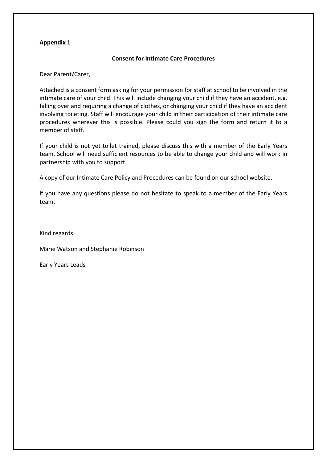#### **Appendix 1**

#### **Consent for Intimate Care Procedures**

Dear Parent/Carer,

Attached is a consent form asking for your permission for staff at school to be involved in the intimate care of your child. This will include changing your child if they have an accident, e.g. falling over and requiring a change of clothes, or changing your child if they have an accident involving toileting. Staff will encourage your child in their participation of their intimate care procedures wherever this is possible. Please could you sign the form and return it to a member of staff.

If your child is not yet toilet trained, please discuss this with a member of the Early Years team. School will need sufficient resources to be able to change your child and will work in partnership with you to support.

A copy of our Intimate Care Policy and Procedures can be found on our school website.

If you have any questions please do not hesitate to speak to a member of the Early Years team.

Kind regards

Marie Watson and Stephanie Robinson

Early Years Leads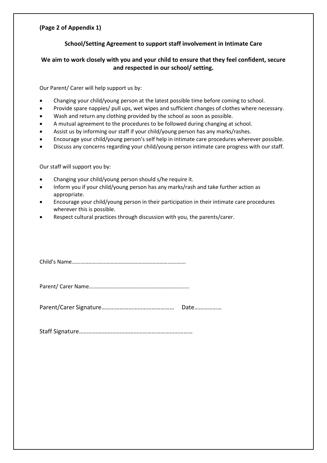#### **(Page 2 of Appendix 1)**

#### **School/Setting Agreement to support staff involvement in Intimate Care**

#### **We aim to work closely with you and your child to ensure that they feel confident, secure and respected in our school/ setting.**

Our Parent/ Carer will help support us by:

- Changing your child/young person at the latest possible time before coming to school.
- Provide spare nappies/ pull ups, wet wipes and sufficient changes of clothes where necessary.
- Wash and return any clothing provided by the school as soon as possible.
- A mutual agreement to the procedures to be followed during changing at school.
- Assist us by informing our staff if your child/young person has any marks/rashes.
- Encourage your child/young person's self help in intimate care procedures wherever possible.
- Discuss any concerns regarding your child/young person intimate care progress with our staff.

Our staff will support you by:

- Changing your child/young person should s/he require it.
- Inform you if your child/young person has any marks/rash and take further action as appropriate.
- Encourage your child/young person in their participation in their intimate care procedures wherever this is possible.
- Respect cultural practices through discussion with you, the parents/carer.

Child's Name……………………………………………………………………….

Parent/ Carer Name……………………………………………………………...

Parent/Carer Signature………………………………………… Date………………

Staff Signature…………………………………………………………………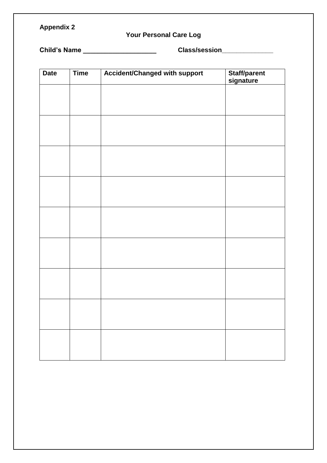## **Appendix 2**

# **Your Personal Care Log**

**Child's Name \_\_\_\_\_\_\_\_\_\_\_\_\_\_\_\_\_\_\_\_ Class/session\_\_\_\_\_\_\_\_\_\_\_\_\_\_** 

| <b>Date</b> | <b>Time</b> | <b>Accident/Changed with support</b> | Staff/parent<br>signature |
|-------------|-------------|--------------------------------------|---------------------------|
|             |             |                                      |                           |
|             |             |                                      |                           |
|             |             |                                      |                           |
|             |             |                                      |                           |
|             |             |                                      |                           |
|             |             |                                      |                           |
|             |             |                                      |                           |
|             |             |                                      |                           |
|             |             |                                      |                           |
|             |             |                                      |                           |
|             |             |                                      |                           |
|             |             |                                      |                           |
|             |             |                                      |                           |
|             |             |                                      |                           |
|             |             |                                      |                           |
|             |             |                                      |                           |
|             |             |                                      |                           |